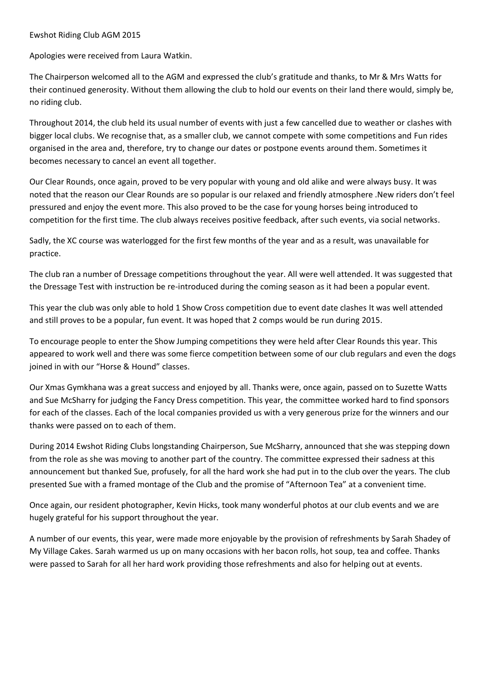Apologies were received from Laura Watkin.

The Chairperson welcomed all to the AGM and expressed the club's gratitude and thanks, to Mr & Mrs Watts for their continued generosity. Without them allowing the club to hold our events on their land there would, simply be, no riding club.

Throughout 2014, the club held its usual number of events with just a few cancelled due to weather or clashes with bigger local clubs. We recognise that, as a smaller club, we cannot compete with some competitions and Fun rides organised in the area and, therefore, try to change our dates or postpone events around them. Sometimes it becomes necessary to cancel an event all together.

Our Clear Rounds, once again, proved to be very popular with young and old alike and were always busy. It was noted that the reason our Clear Rounds are so popular is our relaxed and friendly atmosphere .New riders don't feel pressured and enjoy the event more. This also proved to be the case for young horses being introduced to competition for the first time. The club always receives positive feedback, after such events, via social networks.

Sadly, the XC course was waterlogged for the first few months of the year and as a result, was unavailable for practice.

The club ran a number of Dressage competitions throughout the year. All were well attended. It was suggested that the Dressage Test with instruction be re-introduced during the coming season as it had been a popular event.

This year the club was only able to hold 1 Show Cross competition due to event date clashes It was well attended and still proves to be a popular, fun event. It was hoped that 2 comps would be run during 2015.

To encourage people to enter the Show Jumping competitions they were held after Clear Rounds this year. This appeared to work well and there was some fierce competition between some of our club regulars and even the dogs joined in with our "Horse & Hound" classes.

Our Xmas Gymkhana was a great success and enjoyed by all. Thanks were, once again, passed on to Suzette Watts and Sue McSharry for judging the Fancy Dress competition. This year, the committee worked hard to find sponsors for each of the classes. Each of the local companies provided us with a very generous prize for the winners and our thanks were passed on to each of them.

During 2014 Ewshot Riding Clubs longstanding Chairperson, Sue McSharry, announced that she was stepping down from the role as she was moving to another part of the country. The committee expressed their sadness at this announcement but thanked Sue, profusely, for all the hard work she had put in to the club over the years. The club presented Sue with a framed montage of the Club and the promise of "Afternoon Tea" at a convenient time.

Once again, our resident photographer, Kevin Hicks, took many wonderful photos at our club events and we are hugely grateful for his support throughout the year.

A number of our events, this year, were made more enjoyable by the provision of refreshments by Sarah Shadey of My Village Cakes. Sarah warmed us up on many occasions with her bacon rolls, hot soup, tea and coffee. Thanks were passed to Sarah for all her hard work providing those refreshments and also for helping out at events.